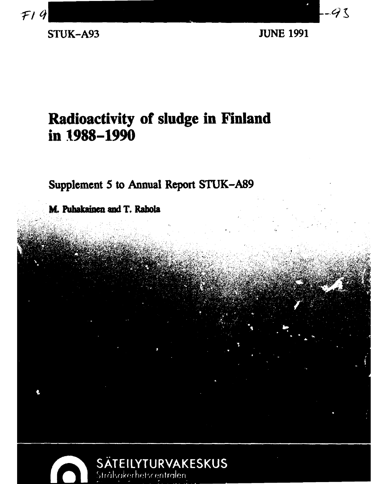

**STUK-A93 JUNE 1991** 

## **Radioactivity of sludge in Finland in 1988-1990**

**Supplement 5 to Annual Report STUK-A89** 

**M. Puhakainen and T. Rabola** 

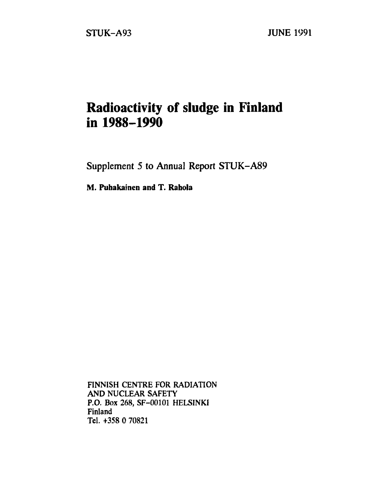### **Radioactivity of sludge in Finland in 1988-1990**

**Supplement 5 to Annual Report STUK-A89** 

**M. Puhakainen and T. Rahola** 

FINNISH CENTRE FOR RADIATION AND NUCLEAR SAFETY P.O. Box 268, SF-00101 HELSINKI Finland Tel. +358 0 70821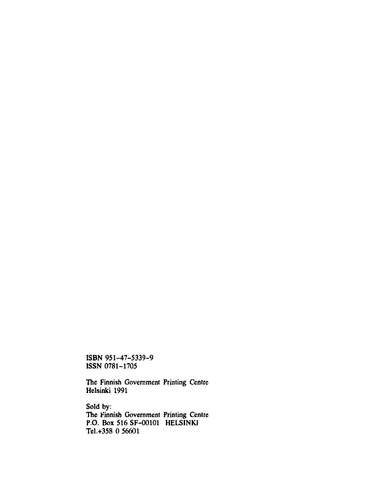**ISBN 951-47-5339-9 ISSN 0781-1705** 

**The Finnish Government Printing Centre Helsinki 1991** 

**Sold by: The Finnish Government Printing Centre P.O. Box 516 SF-00101 HELSINKI Tel .+358 0 56601**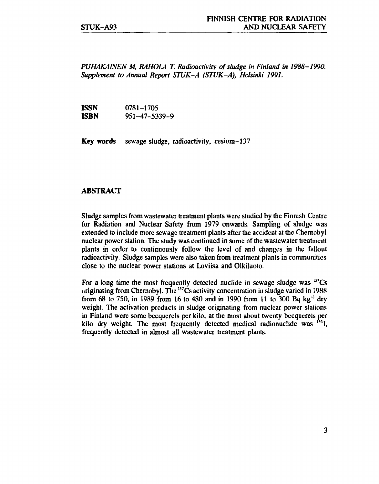*PUHAKAINEN M, RAHOLA T. Radioactivity of sludge in Finland in 1988-1990. Supplement to Annual Report STUK-A (STUK-A), Helsinki 1991.* 

**ISSN** 0781-1705<br>**ISBN** 951-47-53 **ISBN** 951-47-5339-9

**Key words** sewage sludge, radioactivity, cesium-137

#### **ABSTRACT**

Sludge samples from wastewater treatment plants were studied by the Finnish Centre for Radiation and Nuclear Safety from 1979 onwards. Sampling of sludge was extended to include more sewage treatment plants after the accident at the Chernobyl nuclear power station. The study was continued in some of the wastewater treatment plants in order to continuously follow the level of and changes in the fallout radioactivity. Sludge samples were also taken from treatment plants in communities close to the nuclear power stations at Loviisa and Olkiluoto.

For a long time the most frequently detected nuclide in sewage sludge was  $137Cs$ originating from Chernobyl. The <sup>137</sup>Cs activity concentration in sludge varied in 1988 from 68 to 750, in 1989 from 16 to 480 and in 1990 from 11 to 300 Bq kg<sup>-1</sup> dry weight. The activation products in sludge originating from nuclear power stations in Finland were some becquerels per kilo, at the most about twenty bccquercls per kilo dry weight. The most frequently detected medical radionuclide was  $^{131}$ l, frequently detected in almost all wastewater treatment plants.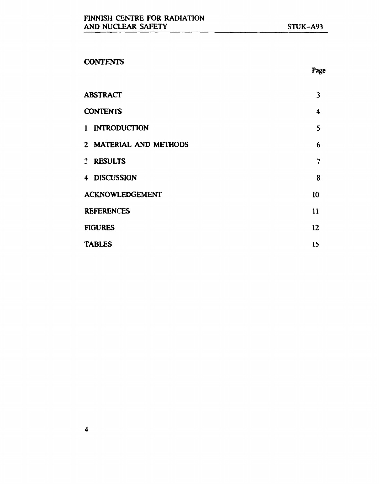### **CONTENTS**

| <b>ABSTRACT</b>        | 3               |
|------------------------|-----------------|
| <b>CONTENTS</b>        | 4               |
| 1 INTRODUCTION         | 5               |
| 2 MATERIAL AND METHODS | $6\phantom{1}6$ |
| 3 RESULTS              | 7               |
| 4 DISCUSSION           | 8               |
| <b>ACKNOWLEDGEMENT</b> | 10              |
| <b>REFERENCES</b>      | 11              |
| <b>FIGURES</b>         | 12              |
| <b>TABLES</b>          | 15              |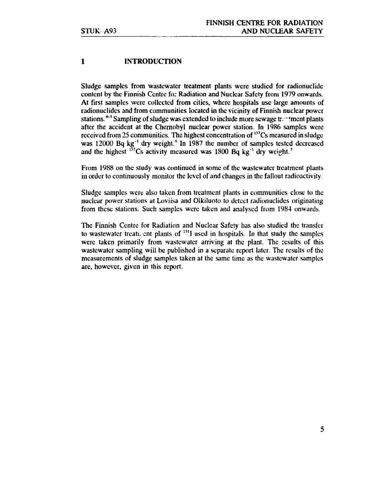#### 1 INTRODUCTION

Sludge samples from wastewater treatment plants were studied for radionuclide content by the Finnish Centre for Radiation and Nuclear Safety from 1979 onwards. At first samples were collected from cities, where hospitals use large amounts of radionuclides and from communities located in the vicinity of Finnish nuclear power stations.<sup>45</sup> Sampling of sludge was extended to include more sewage two tment plants after the accident at the Chernobyl nuclear power station. In 1986 samples were received from 25 communities. The highest concentration of <sup>137</sup>Cs measured in sludge was 12000 Bq kg<sup>-1</sup> dry weight.<sup>6</sup> In 1987 the number of samples tested decreased and the highest  $^{137}$ Cs activity measured was 1800 Bq kg<sup>-1</sup> dry weight.<sup>7</sup>

From 1988 on the study was continued in some of the wastewater treatment plants in order to continuously monitor the level of and changes in the fallout radioactivity.

Sludge samples were also taken from treatment plants in communities close to the nuclear power stations at Loviisa and Olkiluoto to detect radionuclides originating from these stations. Such samples were taken and analysed from 1984 onwards.

The Finnish Centre for Radiation and Nuclear Safety has also studied the transfer to wastewater treatment plants of  $<sup>131</sup>I$  used in hospitals. In that study the samples</sup> were taken primarily from wastewater arriving at the plant. The results of this wastewater sampling will be published in a separate report later. The results of the measurements of sludge samples taken at the same time as the wastewater samples are, however, given in this report.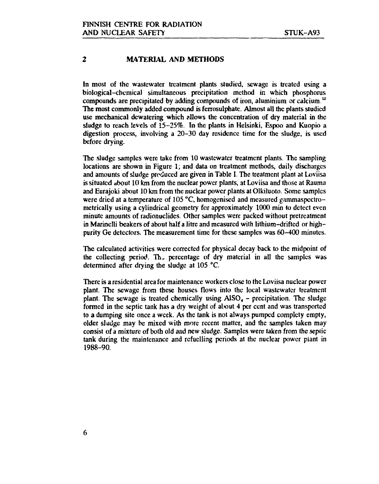#### 2 MATERIAL AND METHODS

In most of the wastewater treatment plants studied, sewage is treated using a biological-chemical simultaneous precipitation method in which phosphorus compounds are precipitated by adding compounds of iron, aluminium or calcium.<sup>10</sup> The most commonly added compound is ferrosulphate. Almost all the plants studied use mechanical dcwatering which allows the concentration of dry material in the sludge to reach levels of 15-25%. In the plants in Helsinki, Espoo and Kuopio a digestion process, involving a 20-30 day residence time for the sludge, is used before drying.

The sludge samples were take from 10 wastewater treatment plants. The sampling locations are shown in Figure 1; and data on treatment methods, daily discharges and amounts of sludge produced are given in Table I. The treatment plant at Loviisa is situated about 10 km from the nuclear power plants, at Loviisa and those at Rauma and Eurajoki about 10 km from the nuclear power plants at Olkiluoto. Some samples were dried at a temperature of 105 °C, homogenised and measured gammaspectrometrically using a cylindrical geometry for approximately 1000 min to detect even minute amounts of radionuclides. Other samples were packed without pretrcatment in Marinelli beakers of about half a litre and measured with lithium-drifted or highpurity Ge detectors. The measurement time for these samples was 60-400 minutes.

The calculated activities were corrected for physical decay back to the midpoint of the collecting period. The percentage of dry material in all the samples was determined after drying the sludge at 105 °C.

There is a residential area for maintenance workers close to the Loviisa nuclear power plant. The sewage from these houses flows into the local wastewater treatment plant. The sewage is treated chemically using  $\text{ASO}_4$  – precipitation. The sludge formed in the septic tank has a dry weight of about 4 per cent and was transported to a dumping site once a week. As the tank is not always pumped complety empty, older sludge may he mixed with more recent matter, and the samples taken may consist of a mixture of both old and new sludge. Samples were taken from the septic tank during the maintenance and refuelling periods at the nuclear power plant in 1988-90.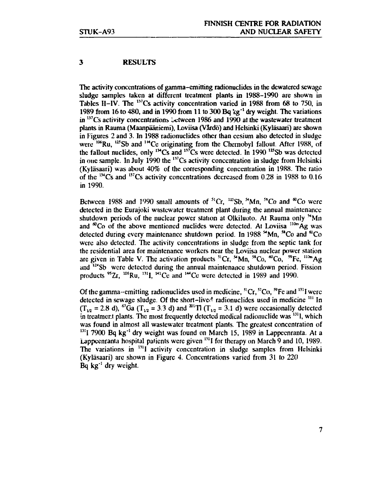#### 3 RESULTS

The activity concentrations of gamma-emitting radionuclides in the dcwatercd sewage sludge samples taken at different treatment plants in 1988-1990 are shown in Tables II-IV. The <sup>137</sup>Cs activity concentration varied in 1988 from 68 to 750, in 1989 from 16 to 480, and in 1990 from 11 to 300  $Bq$   $kg^{-1}$  dry weight. The variations in  $137$ Cs activity concentrations between 1986 and 1990 at the wastewater treatment plants in Rauma (Maanpäämemi), Loviisa (Vardö) and Helsinki (Kyläsaari) are shown in Figures 2 and 3. In 1988 radionuclides other than cesium also detected in sludge were <sup>106</sup>Ru, <sup>125</sup>Sb and <sup>14</sup>Ce originating from the Chernobyl fallout. After 1988, of the fallout nuclides, only  $^{134}Cs$  and  $^{137}Cs$  were detected. In 1990  $^{125}Sb$  was detected in one sample. In July 1990 the  $137$ Cs activity concentration in sludge from Helsinki (Kyläsaari) was about 40% of the corresponding concentration in 1988. The ratio of the  $^{134}$ Cs and  $^{137}$ Cs activity concentrations decreased from 0.28 in 1988 to 0.16 in 1990.

Between 1988 and 1990 small amounts of <sup>51</sup>Cr, <sup>125</sup>Sb, <sup>si</sup>Mn, <sup>58</sup>Co and <sup>60</sup>Co were detected in the Eurajoki wastewater treatment plant during the annual maintenance shutdown periods of the nuclear power station at Olkiluoto. At Rauma only <sup>st</sup>Mn and  ${}^{60}$ Co of the above mentioned nuclides were detected. At Loviisa  ${}^{110m}$ Ag was detected during every maintenance shutdown period. In 1988  $^{4}$ Mn,  $^{58}$ Co and  $^{60}$ Co were also detected. The activity concentrations in sludge from the septic tank for the residential area for maintenance workers near the Loviisa nuclear power station are given in Table V. The activation products  ${}^{51}Cr$ ,  ${}^{54}Mn$ ,  ${}^{58}Co$ ,  ${}^{60}Co$ ,  ${}^{59}Fe$ ,  ${}^{110m}Ag$ and <sup>124</sup>Sb were detected during the annual maintenance shutdown period. Fission products  $^{95}Zr$ ,  $^{106}Ru$ ,  $^{131}I$ ,  $^{141}Ce$  and  $^{144}Ce$  were detected in 1989 and 1990

Of the gamma--emitting radionuclides used in medicine,  ${}^{51}Cr$ ,  ${}^{57}Co$ ,  ${}^{59}Fe$  and  ${}^{131}I$  were detected in sewage sludge. Of the short-lived radionuclides used in medicine <sup>111</sup> In  $(T_{12} = 2.8 \text{ d})$ , <sup>67</sup>Ga ( $T_{12} = 3.3 \text{ d}$ ) and <sup>201</sup>T1 ( $T_{12} = 3.1 \text{ d}$ ) were occasionally detected in treatment plants. The most frequently detected medical radionuclide was <sup>131</sup>l, which was found in almost all wastewater treatment plants. The greatest concentration of  $131$  7900 Bq kg<sup>-1</sup> dry weight was found on March 15, 1989 in Lappeenranta. At a Lappeenranta hospital patients were given "'I for therapy on March 9 and 10, 1989. The variations in <sup>131</sup>I activity concentration in sludge samples from Helsinki (Kyläsaari) arc shown in Figure 4. Concentrations varied from 31 to 220  $\mathbf{Bq}$  kg<sup>-1</sup> dry weight.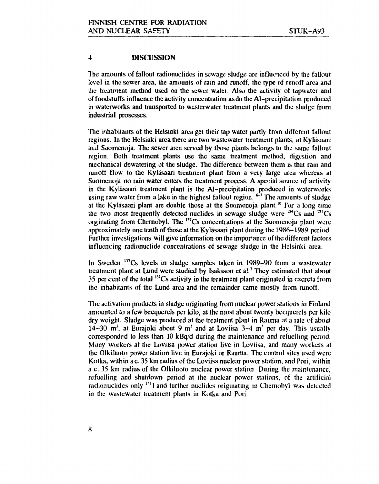#### 4 DISCUSSION

The amounts of fallout radionuclides in sewage sludge are influenced by the fallout level in the sewer area, the amounts of rain and runoff, the type of runoff area and ihe treatment method used on the sewer water. Also the activity of tapwater and of foodstuffs influence the activity concentration as do the Al-precipitation produced in waterworks and transported to wasterwater treatment plants and the sludge from industrial prosesscs.

The inhabitants of the Helsinki area get their tap water partly from different fallout regions. In the Helsinki area there are two wastewater treatment plants, at Kyläsaari and Suomenoja. The sewer area served by those plants belongs to the same fallout region. Both treatment plants use the same treatment method, digestion and mechanical dewatering of the sludge. The difference between them is that rain and runoff flow to the Kyläsaari treatment plant from a very large area whereas at Suomenoja no rain water enters the treatment process. A special source of activity in the Kyläsaari treatment plant is the A]-precipitation produced in waterworks using raw water from a lake in the highest fallout region.  $F<sup>1</sup>$  The amounts of sludge at the Kyläsaari plant are double those at the Suomenoja plant.<sup>10</sup> For a long time the two most frequently detected nuclides in sewage sludge were  $134$ Cs and  $137$ Cs orginating from Chernobyl. The <sup>137</sup>Cs concentrations at the Suomenoja plant were approximately one tenth of those at the Kyläsaari plant during the 1986-1989 period. Further investigations will give information on the imporance of the different factors influencing radionuclide concentrations of sewage sludge in the Helsinki area.

In Sweden<sup>137</sup>Cs levels in sludge samples taken in 1989-90 from a wastewater treatment plant at Lund were studied by Isaksson et al.<sup>3</sup> They estimated that about 35 per cent of the total  $137$ Cs activity in the treatment plant originated in excreta from the inhabitants of the Lund area and the remainder came mostly from runoff.

The activation products in sludge originating from nuclear power stations *in* Finland amounted *to* a few becqucrels per kilo, at the most about twenty bccquercls per kilo dry weight. Sludge was produced at the treatment plant in Rauma at a rate of about 14–30 m<sup>3</sup>, at Eurajoki about 9 m<sup>3</sup> and at Loviisa 3–4 m<sup>3</sup> per day. This usually corresponded to less than 10 kBq/d during the maintenance and refuelling period. Many workers at the Loviisa power station live in Loviisa, and many workers at the Olkiluoto power station live in Eurajoki or Rauma. The control sites used were Kotka, within a c. 35 km radius of the Loviisa nuclear power station, and Pori, within a c. 35 km radius of the Olkiluoto nuclear power station. During the maintenance, refuelling and shutdown period at the nuclear power stations, of the artificial radionuclides only <sup>131</sup>I and further nuclides originating in Chernobyl was detected in the wastewater treatment plants in Kotka and Pori.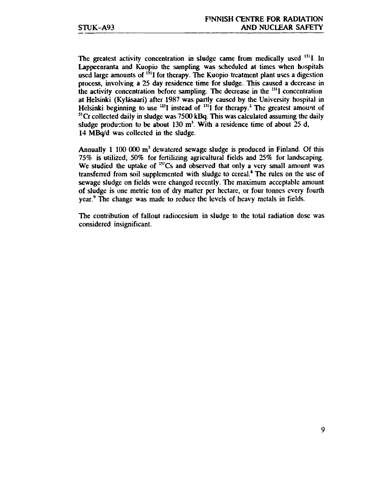The greatest activity concentration in sludge came from medically used <sup>131</sup>l. In **Lappeenranta and Kuopio the sampling was scheduled at times when hospitals**  used large amounts of <sup>131</sup>I for therapy. The Kuopio treatment plant uses a digestion **process, involving a 25 day residence time for sludge, litis caused a decrease in the activity concentration before sampling. The decrease in the "'I concentration at Helsinki (Kyläsaari) after 1987 was partly caused by the University hospital in**  Helsinki beginning to use <sup>123</sup>I instead of <sup>131</sup>I for therapy.<sup>2</sup> The greatest amount of **51 Cr collected daily in sludge was 7500 kBq. This was calculated assuming the daily sludge production to be about 130 m<sup>3</sup> . With a residence time of about 25 d, 14 M Boyd was collected in the sludge.** 

**Annually 1 100 000 m<sup>3</sup> dewatcred sewage sludge is produced in Finland. Of this 75% is utilized, 50% for fertilizing agricultural fields and 25% for landscaping. We studied the uptake of "<sup>7</sup>Cs and observed that only a very small amount was transferred from soil supplemented with sludge to cereal.' The rules on the use of sewage sludge on fields were changed recently. The maximum acceptable amount of sludge is one metric ton of dry matter per hectare, or four tonnes every fourth year.<sup>9</sup> The change was made to reduce the levels of heavy metals in fields.** 

**The contribution of fallout radiocesium in sludge to the total radiation dose was considered insignificant.**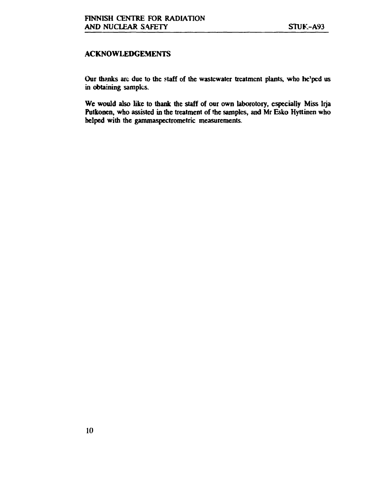#### **ACKNOWLEDGEMENTS**

**Our thanks are due to the staff of the wastewater treatment plants, who he'ped us in obtaining samples.** 

**We would also like to thank the staff of our own laboratory, especially Miss Irja Putkonen, who assisted in the treatment of the samples, and Mr Esko Hyttinen who helped with the gammaspectrometric measurements.**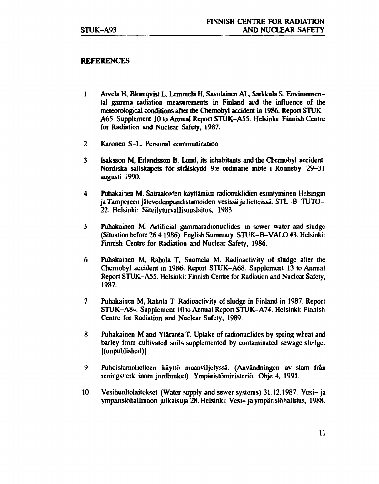#### **REFERENCES**

- **1 Arvela H, Blomqvist L, Lemmclä H, Savolainen AL, Sarkkula S. Environmental gamma radiation measurements in Finland aid the influence of the meteorological conditions after the Chernobyl accident in 1986. Report STUK-A65. Supplement 10 to Annual Report STUK-A55. Helsinki: Finnish Centre for Radiation and Nuclear Safety, 1987.**
- **2 Karonen S-L. Personal communication**
- **3 Isaksson M, Erlandsson B. Lund, its inhabitants and the Chernobyl accident. Nordiska sällskapcts för strälskydd 9:e ordinarie möte i Ronneby. 29-31 augusti 1990.**
- **4 Puhakainen M. Sairaaloiden käyttämien radionuklidien esiintyminen Helsingin ja Tampereen jätevedenpundistamoidcn vesissä ja lietteissä. STL-B-TUTO-22. Helsinki: Säteilyturvailisuuslaitos, 1983.**
- **5 Puhakainen M. Artificial gammaradionuclides in sewer water and sludge (Situation before 26.4.1986). English Summary. STUK-B-VALO 43. Helsinki: Finnish Centre for Radiation and Nuclear Safety, 1986.**
- **6 Puhakainen M, Rahola T, Suomela M. Radioactivity of sludge after the Chernobyl accident in 1986. Report STUK-A68. Supplement 13 to Annual Report STUK-A55. Helsinki: Finnish Centre for Radiation and Nuclear Safety, 1987.**
- **7 Puhakainen M, Rahola T. Radioactivity of sludge in Finland in 1987. Report STUK-A84. Supplement 10 to Annual Report STUK-A74. Helsinki: Finnish Centre for Radiation and Nuclear Safety, 1989.**
- **8 Puhakainen M and Ylaranta T. Uptake of radionuclides by spring wheat and barley from cultivated soils supplemented by contaminated sewage sludge, [(unpublished)]**
- **9 Puhdistamolietteen käyttö maanviljelyssä. (Användningen av slam fran rcningsvcrk inom jordbrukct). Ympäristöministeriö. Ohje 4, 1991.**
- **10 Vesihuoltolaitokset (Water supply and sewer systems) 31.12.1987. Vesi- ja ympäristöhallinnon julkaisuja 28. Helsinki: Vesi-ja ympäristöhallitus, 1988.**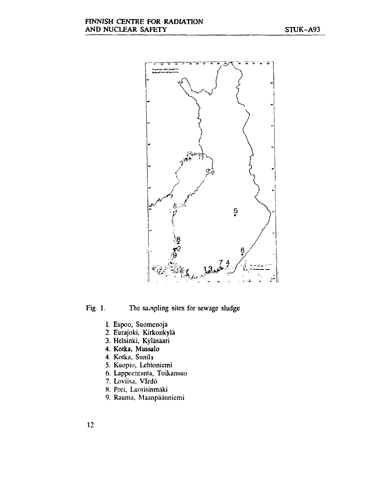

Fig. **1.** The sampling sites for sewage sludge

- 1. Espoo, Suomenoja
- 2. Eurajoki, Kirkonkylä
- 3. Helsinki, Kyläsaari
- 4. **Kotka,** Mussalo
- 4. Kotka, Sunila
- 5. Kuopio, Lehtoniemi
- 6. Lappeenranta, Toikansuo
- 7. Loviisa, Värdö
- 8. Pori, Luotisinmäki
- 9. Rauma, Maanpäännicmi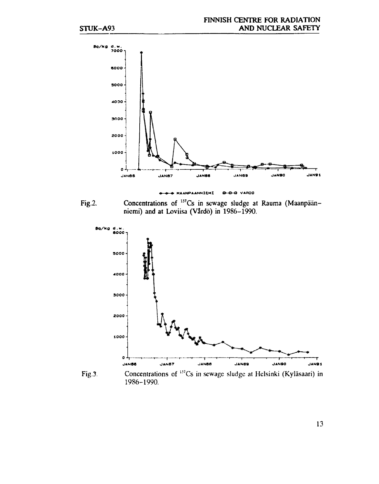

**MAANPAANNlCHl**  0-0-0 VARDO ٠

**Fig.2.**  Concentrations of <sup>137</sup>Cs in sewage sludge at Rauma (Maanpäänniemi) and at Loviisa (Värdö) in 1986-1990.



1986-1990.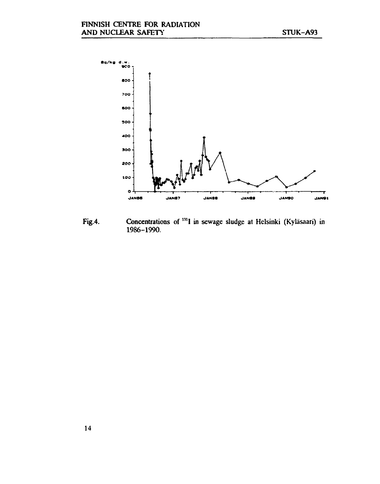

**Fig.4. Concentrations** of **<sup>131</sup>I in** sewage sludge at Helsinki (Kyläsaari) in 1986-1990.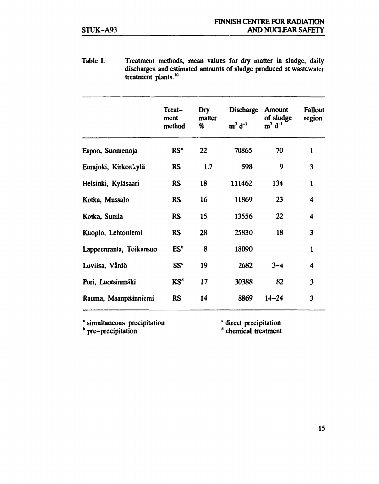**Table I. Treatment methods, mean values for dry matter in sludge, daily discharges and estimated amounts of sludge produced at wastewater treatment plants.<sup>10</sup>**

|                         | Treat-<br>ment<br>method | Dry<br>matter<br>% | <b>Discharge</b><br>$m3 d-1$ | <b>Amount</b><br>of sludge<br>$m3 d-1$ | <b>Fallout</b><br>region |
|-------------------------|--------------------------|--------------------|------------------------------|----------------------------------------|--------------------------|
| Espoo, Suomenoja        | RS'                      | 22                 | 70865                        | 70                                     | $\mathbf{1}$             |
| Eurajoki, Kirkori ylä   | <b>RS</b>                | 1.7                | 598                          | 9                                      | 3                        |
| Helsinki, Kyläsaari     | <b>RS</b>                | 18                 | 111462                       | 134                                    | $\mathbf{1}$             |
| Kotka, Mussalo          | <b>RS</b>                | 16                 | 11869                        | 23                                     | 4                        |
| Kotka, Sunila           | <b>RS</b>                | 15                 | 13556                        | 22                                     | $\ddot{\phantom{0}}$     |
| Kuopio, Lehtoniemi      | <b>RS</b>                | 28                 | 25830                        | 18                                     | 3                        |
| Lappeenranta, Toikansuo | ES <sup>b</sup>          | 8                  | 18090                        |                                        | 1                        |
| Loviisa, Vårdö          | SS <sup>c</sup>          | 19                 | 2682                         | $3 - 4$                                | 4                        |
| Pori, Luotsinmäki       | $KS^d$                   | 17                 | 30388                        | 82                                     | 3                        |
| Rauma, Maanpäänniemi    | <b>RS</b>                | 14                 | 8869                         | $14 - 24$                              | $\overline{\mathbf{3}}$  |

**1 simultaneous precipitation b pre-prccipitation**

**<sup>c</sup> direct precipitation d** chemical treatment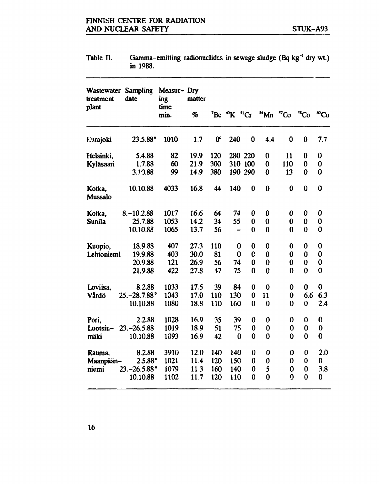|                    | in 1988.                           |                           |        |                |                                          |                  |          |             |             |                 |
|--------------------|------------------------------------|---------------------------|--------|----------------|------------------------------------------|------------------|----------|-------------|-------------|-----------------|
| treatment<br>plant | <b>Wastewater Sampling</b><br>date | Measur-Dry<br>ing<br>time | matter |                |                                          |                  |          |             |             |                 |
|                    |                                    | min.                      | %      |                | $E^{\prime}$ Be $\mathcal{R}^{\prime}$ K | $^{51}Cr$        | Mn       | ${}^{57}Co$ | ${}^{58}Co$ | ${}^{\omega}Co$ |
| Eurajoki           | $23.5.88$ <sup>*</sup>             | 1010                      | 1.7    | 0 <sup>e</sup> | 240                                      | $\bf{0}$         | 4.4      | $\bf{0}$    | $\bf{0}$    | 7.7             |
| Helsinki,          | 5.4.88                             | 82                        | 19.9   | 120            |                                          | 280 220          | 0        | 11          | 0           | 0               |
| Kyläsaari          | 1.7.88                             | 60                        | 21.9   | 300            |                                          | 310 100          | $\bf{0}$ | 110         | 0           | 0               |
|                    | 3.10.88                            | 99                        | 14.9   | 380            |                                          | 190 290          | 0        | 13          | 0           | $\bf{0}$        |
| Kotka,<br>Mussalo  | 10.10.88                           | 4033                      | 16.8   | 44             | 140                                      | 0                | $\bf{0}$ | $\bf{0}$    | $\bf{0}$    | $\bf{0}$        |
| Kotka,             | $8 - 10.2.88$                      | 1017                      | 16.6   | 64             | 74                                       | 0                | 0        | 0           | 0           | 0               |
| <b>Sunila</b>      | 25.7.88                            | 1053                      | 14.2   | 34             | 55                                       | 0                | $\bf{0}$ | 0           | 0           | 0               |
|                    | 10.10.88                           | 1065                      | 13.7   | 56             |                                          | 0                | $\bf{0}$ | $\bf{0}$    | $\bf{0}$    | 0               |
| Kuopio,            | 18.9.88                            | 407                       | 27.3   | 110            | 0                                        | 0                | 0        | 0           | 0           | 0               |
| Lehtoniemi         | 19.9.88                            | 403                       | 30.0   | 81             | $\bf{0}$                                 | C                | $\bf{0}$ | 0           | 0           | 0               |
|                    | 20.9.88                            | 121                       | 26.9   | 56             | 74                                       | 0                | $\bf{0}$ | $\bf{0}$    | 0           | 0               |
|                    | 21.9.88                            | 422                       | 27.8   | 47             | 75                                       | 0                | C        | 0           | $\bf{0}$    | 0               |
| Loviisa,           | 8.2.88                             | 1033                      | 17.5   | 39             | 84                                       | $\bf{0}$         | $\bf{0}$ | 0           | 0           | 0               |
| Vårdö              | $25 - 28.7.88^{\circ}$             | 1043                      | 17.0   | 110            | 130                                      | $\bf{0}$         | 11       | 0           | 6.6         | 6.3             |
|                    | 10.10.88                           | 1080                      | 18.8   | 110            | 160                                      | 0                | $\bf{0}$ | 0           | $\bf{0}$    | 2.4             |
| Pori,              | 2.2.88                             | 1028                      | 16.9   | 35             | 39                                       | 0                | $\bf{0}$ | 0           | 0           | 0               |
| Luotsin-           | $23 - 26.5.88$                     | 1019                      | 18.9   | 51             | 75                                       | 0                | 0        | 0           | $\bf{0}$    | 0               |
| mäki               | 10.10.88                           | 1093                      | 16.9   | 42             | 0                                        | $\bf{0}$         | $\bf{0}$ | 0           | $\bf{0}$    | 0               |
| Rauma,             | 8.2.88                             | 3910                      | 12.0   | 140            | 140                                      | 0                | 0        | 0           | 0           | 2.0             |
| Maanpään-          | $2.5.88*$                          | 1021                      | 11.4   | 120            | 150                                      | $\boldsymbol{0}$ | $\bf{0}$ | 0           | 0           | 0               |
| niemi              | $23.-26.5.88$ <sup>*</sup>         | 1079                      | 11.3   | 160            | 140                                      | 0                | 5        | $\bf{0}$    | $\bf{0}$    | 3.8             |
|                    | 10.10.88                           | 1102                      | 11.7   | 120            | 110                                      | $\bf{0}$         | $\bf{0}$ | ŋ           | $\bf{0}$    | 0               |

**Table II.** Gamma-emitting radionuclides in sewage sludge (Bq kg<sup>-1</sup> dry wt.) **in 1988.**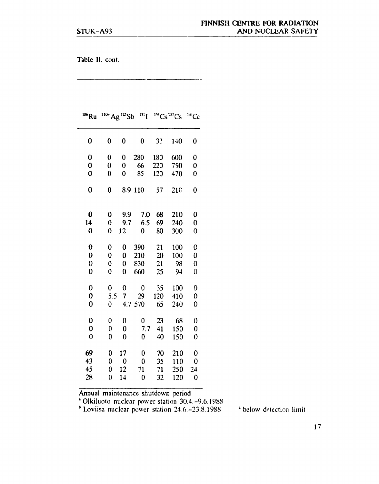**Table II.** cont.

| <sup>106</sup> Ru | $^{110m}$ Ag $^{125}$ Sb |                  | $^{131}$ [   |     | $\mathrm{H}^{\mathrm{H}}\mathrm{Cs}^{\mathrm{137}}\mathrm{Cs}$ | $^{144}$ Ce |
|-------------------|--------------------------|------------------|--------------|-----|----------------------------------------------------------------|-------------|
| 0                 | 0                        | 0                | 0            | 32  | 140                                                            | 0           |
| $\bf{0}$          | 0                        | $\bf{0}$         | 280          | 180 | 600                                                            | 0           |
| $\bf{0}$          | 0                        | 0                | 66           | 220 | 750                                                            | 0           |
| 0                 | 0                        | 0                | 85           | 120 | 470                                                            | 0           |
| $\bf{0}$          | 0                        |                  | 8.9 110      | 57  | 210                                                            | 0           |
| 0                 | 0                        | 9.9              | 7.0          | 68  | 210                                                            | 0           |
| 14                | $\bf{0}$                 | 9.7              | 6.5          | 69  | 240                                                            | 0           |
| 0                 | $\bf{0}$                 | 12               | 0            | 80  | 300                                                            | 0           |
|                   |                          |                  |              |     |                                                                |             |
| $\bf{0}$          | 0                        | 0                | 390          | 21  | 100                                                            | 0           |
| 0                 | 0                        | 0                | 210          | 20  | 100                                                            | 0           |
| 0                 | 0                        | $\boldsymbol{0}$ | 830          | 21  | 98                                                             | 0           |
| 0                 | 0                        | 0                | 660          | 25  | 94                                                             | 0           |
| $\bf{0}$          | $\bf{0}$                 | $\bf{0}$         | $\mathbf 0$  | 35  | 100                                                            | 0           |
| $\bf{0}$          | 5.5                      | 7                | 29           | 120 | 410                                                            | 0           |
| $\mathbf 0$       | 0                        |                  | 4.7 570      | 65  | 240                                                            | 0           |
| $\mathbf 0$       | $\bf{0}$                 | $\bf{0}$         | $\mathbf{0}$ | 23  | 68                                                             | 0           |
| $\bf{0}$          | $\bf{0}$                 | $\bf{0}$         | 7.7          | 41  | 150                                                            | 0           |
| $\overline{0}$    | 0                        | $\bf{0}$         | 0            | 40  | 150                                                            | 0           |
| 69                | 0                        | 17               | $\bf{0}$     | 70  | 210                                                            | 0           |
| 43                | 0                        | $\boldsymbol{0}$ | $\mathbf 0$  | 35  | 110                                                            | 0           |
| 45                | $\overline{0}$           | 12               | 71           | 71  | 250                                                            | 24          |
| 28                | $\overline{0}$           | 14               | 0            | 32  | 120                                                            | 0           |
|                   |                          |                  |              |     |                                                                |             |

an an

Annual maintenance shutdown period 1 Olkiluoto nuclear power station 30.4.-9.6.1988 b Loviisa nuclear power station 24.6.-23.8.1988

<sup>c</sup> below detection limit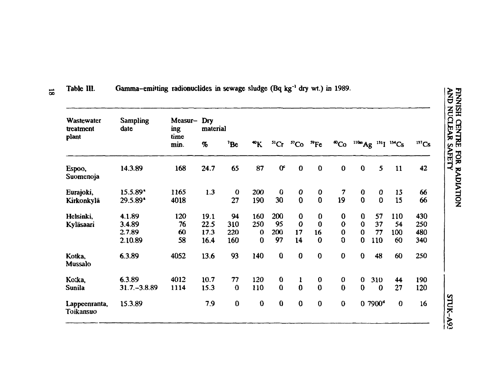| <b>AND NUCLEAR SAFETY</b><br><b>FINISH CENTRE FOR RADIATION</b> |           |                  |                                      |                                                                |     |                     | STUK-A93 |
|-----------------------------------------------------------------|-----------|------------------|--------------------------------------|----------------------------------------------------------------|-----|---------------------|----------|
|                                                                 | $137$ Cs  | 42               | 66<br>66                             | 430<br>250<br>480<br>340                                       | 250 | 190                 | 120      |
|                                                                 | $134$ Cs  | 11               | 15<br>15                             | 110<br>54<br>100<br>60                                         | 60  | 44                  | 27       |
|                                                                 | $^{131}I$ | 5                | 0<br>0                               | 57<br>37<br>77<br>110                                          | 48  | 310<br>0            |          |
|                                                                 | $110m$ Ag | $\boldsymbol{0}$ | $\begin{matrix} 0 \\ 0 \end{matrix}$ | $\bf{0}$<br>$\overline{0}$<br>$\overline{0}$<br>$\overline{0}$ | 0   | 0<br>$\overline{0}$ |          |
|                                                                 |           |                  |                                      |                                                                |     |                     |          |

| Wastewater<br>treatment    | <b>Sampling</b><br>date | Measur-<br>ing<br>time | Dry<br>material |             |                        |                  |                  |             |                         |                |                     |                                  |          |
|----------------------------|-------------------------|------------------------|-----------------|-------------|------------------------|------------------|------------------|-------------|-------------------------|----------------|---------------------|----------------------------------|----------|
| plant                      |                         | min.                   | $\%$            | $^7$ Be     | $\mathbf{R}^{\bullet}$ | $^{51}Cr$        | $^{57}Co$        | ${}^{59}Fe$ | $^{60}Co$               |                |                     | $^{110m}Ag$ $^{131}I$ $^{134}Cs$ | $137C_5$ |
| Espoo,<br>Suomenoja        | 14.3.89                 | 168                    | 24.7            | 65          | 87                     | 0 <sup>c</sup>   | $\bf{0}$         | $\bf{0}$    | 0                       | $\mathbf 0$    | 5                   | 11                               | 42       |
| Eurajoki,                  | $15.5.89$ <sup>*</sup>  | 1165                   | 1.3             | $\mathbf 0$ | 200                    | $\bf{0}$         | $\boldsymbol{0}$ | $\bf{0}$    | $\overline{\mathbf{z}}$ | $\bf{0}$       | $\bf{0}$            | 15                               | 66       |
| Kirkonkylä                 | $29.5.89$ <sup>*</sup>  | 4018                   |                 | 27          | 190                    | 30               | $\bf{0}$         | $\bf{0}$    | 19                      | $\overline{0}$ | $\bf{0}$            | 15                               | 66       |
| Helsinki,                  | 4.1.89                  | 120                    | 19.1            | 94          | 160                    | 200              | $\bf{0}$         | $\bf{0}$    | $\bf{0}$                | 0              | 57                  | 110                              | 430      |
| Kyläsaari                  | 3.4.89                  | 76                     | 22.5            | 310         | 250                    | 95               | $\bf{0}$         | $\bf{0}$    | $\mathbf 0$             | $\Omega$       | 37                  | 54                               | 250      |
|                            | 2.7.89                  | 60                     | 17.3            | 220         | $\mathbf 0$            | 200              | 17               | 16          | $\bf{0}$                | $\mathbf 0$    | 77                  | 100                              | 480      |
|                            | 2.10.89                 | 58                     | 16.4            | 160         | $\bf{0}$               | 97               | 14               | $\bf{0}$    | $\overline{0}$          | $\bf{0}$       | 110                 | 60                               | 340      |
| Kotka,<br>Mussalo          | 6.3.89                  | 4052                   | 13.6            | 93          | 140                    | $\bf{0}$         | $\bf{0}$         | $\bf{0}$    | $\bf{0}$                | $\mathbf 0$    | 48                  | 60                               | 250      |
| Ko:ka,                     | 6.3.89                  | 4012                   | 10.7            | 77          | 120                    | $\boldsymbol{0}$ | $\mathbf{1}$     | $\bf{0}$    | $\bf{0}$                | $\mathbf 0$    | 310                 | 44                               | 190      |
| Sunila                     | $31.7 - 3.8.89$         | 1114                   | 15.3            | $\bf{0}$    | 110                    | $\bf{0}$         | $\bf{0}$         | $\bf{0}$    | $\bf{0}$                | $\mathbf{0}$   | $\mathbf 0$         | 27                               | 120      |
| Lappeenranta,<br>Toikansuo | 15.3.89                 |                        | 7.9             | $\bf{0}$    | $\bf{0}$               | $\bf{0}$         | $\bf{0}$         | $\bf{0}$    | $\mathbf 0$             |                | 0.7900 <sup>d</sup> | $\bf{0}$                         | 16       |

**- Table HI. Gamma-emitting radionuclides in sewage sludge (Bq kg<sup>-1</sup> dry wt.) in 1989.**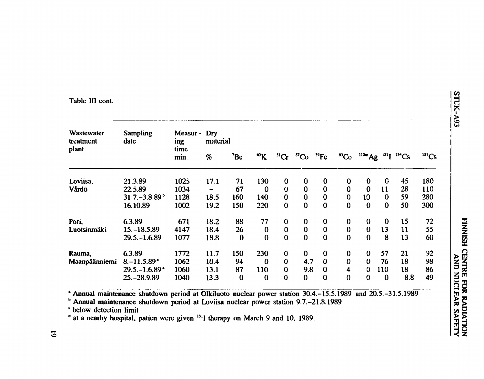#### Table III cont.

| Wastewater<br>treatment | <b>Sampling</b><br>date      | Measur -<br>ing | Dry<br>material              |          |                        |              |                |             |                         |             |          |                   |          |
|-------------------------|------------------------------|-----------------|------------------------------|----------|------------------------|--------------|----------------|-------------|-------------------------|-------------|----------|-------------------|----------|
| plant                   |                              | time<br>min.    | %                            | $^7$ Be  | $\mathbf{R}^{\bullet}$ | ${}^{51}Cr$  | C <sub>0</sub> | ${}^{59}Fe$ | $^{60}Co$               | $^{110m}Ag$ |          | $^{131}I^{134}Cs$ | $137$ Cs |
| Loviisa.                | 21.3.89                      | 1025            | 17.1                         | 71       | 130                    | $\bf{0}$     | $\bf{0}$       | $\bf{0}$    | $\bf{0}$                | $\mathbf 0$ | $\bf{G}$ | 45                | 180      |
| Vårdö                   | 22.5.89                      | 1034            | $\qquad \qquad \blacksquare$ | 67       | $\bf{0}$               | $\mathbf 0$  | $\bf{0}$       | $\bf{0}$    | $\bf{0}$                | $\bf{0}$    | 11       | 28                | 110      |
|                         | $31.7 - 3.8.89^{\circ}$      | 1128            | 18.5                         | 160      | 140                    | $\bf{0}$     | $\bf{0}$       | $\bf{0}$    | 0                       | 10          | $\bf{0}$ | 59                | 280      |
|                         | 16.10.89                     | 1002            | 19.2                         | 150      | 220                    | $\mathbf 0$  | $\bf{0}$       | $\bf{0}$    | $\bf{0}$                | $\bf{0}$    | $\bf{0}$ | 50                | 300      |
| Pori,                   | 6.3.89                       | 671             | 18.2                         | 88       | 77                     | $\bf{0}$     | $\bf{0}$       | $\bf{0}$    | 0                       | $\bf{0}$    | $\bf{0}$ | 15                | 72       |
| Luotsinmäki             | $15 - 18.5.89$               | 4147            | 18.4                         | 26       | $\mathbf 0$            | $\mathbf 0$  | $\bf{0}$       | $\bf{0}$    | $\bf{0}$                | $\bf{0}$    | 13       | 11                | 55       |
|                         | $29.5 - 1.6.89$              | 1077            | 18.8                         | $\bf{0}$ | $\mathbf 0$            | $\mathbf{0}$ | $\bf{0}$       | $\bf{0}$    | $\bf{0}$                | $\bf{0}$    | 8        | 13                | 60       |
| Rauma,                  | 6.3.89                       | 1772            | 11.7                         | 150      | 230                    | $\bf{0}$     | $\bf{0}$       | $\bf{0}$    | $\bf{0}$                | $\mathbf 0$ | 57       | 21                | 92       |
| Maanpäänniemi           | $8 - 11.5.89$                | 1062            | 10.4                         | 94       | $\bf{0}$               | $\bf{0}$     | 4.7            | $\bf{0}$    | $\bf{0}$                | $\bf{0}$    | 76       | 18                | 98       |
|                         | $29.5 - 1.6.89$ <sup>*</sup> | 1060            | 13.1                         | 87       | 110                    | $\bf{0}$     | 9.8            | $\bf{0}$    | $\overline{\mathbf{4}}$ | $\mathbf 0$ | 110      | 18                | 86       |
|                         | 25. - 28.9.89                | 1040            | 13.3                         | $\bf{0}$ | $\bf{0}$               | $\mathbf{0}$ | $\mathbf{0}$   | $\mathbf 0$ | $\bf{0}$                | $\bf{0}$    | $\bf{0}$ | 8.8               | 49       |

Annual maintenance shutdown period at Olkiluoto nuclear power station 30.4. -15.5.1989 and 20.5. -31.5.1989

<sup>b</sup> Annual maintenance shutdown period at Loviisa nuclear power station 9.7.–21.8.1989

<sup>e</sup> below detection limit

 $^d$  at a nearby hospital, patien were given  $^{131}$ I therapy on March 9 and 10, 1989.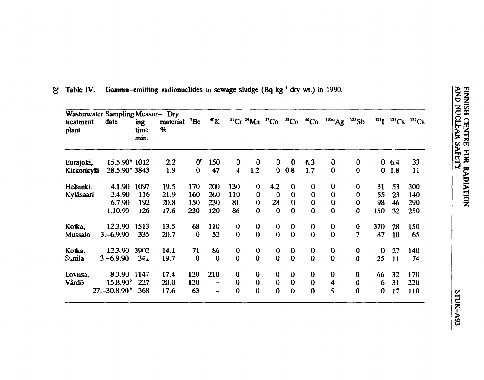| plant             |                        | time<br>min.    | $\%$ | material <sup>7</sup> Be | $\mathbf{R}^*$           |                  |                  | ${}^{51}Cr$ ${}^{54}Mn$ ${}^{57}Co$ | ${}^{58}Co$ | $^{60}Co$        | $^{110m}Ag$          | 125Sb          |             |        | $^{131}I$ $^{134}Cs$ $^{137}Cs$ |
|-------------------|------------------------|-----------------|------|--------------------------|--------------------------|------------------|------------------|-------------------------------------|-------------|------------------|----------------------|----------------|-------------|--------|---------------------------------|
| Eurajoki,         | 15.5.90* 1012          |                 | 2.2  | 0 <sup>c</sup>           | 150                      | $\bf{0}$         | $\bf{0}$         | $\mathbf{0}$                        | $\bf{0}$    | 6.3              | J                    | 0              |             | 0, 6.4 | 33                              |
| <b>Kirkonkylä</b> | 28.5.90* 3843          |                 | 1.9  | $\bf{0}$                 | 47                       | $\ddot{\bullet}$ | 1.2              | $\mathbf{0}$                        | 0.8         | 1.7              | $\boldsymbol{0}$     | $\bf{0}$       |             | 01.8   | 11                              |
| Helsinki.         | 4.1.90                 | 1097            | 19.5 | 170                      | 200                      | 130              | $\bf{0}$         | 4.2                                 | $\bf{0}$    | $\bf{0}$         | $\bf{0}$             | $\bf{0}$       | 31          | 53     | 300                             |
| Kyläsaari         | 2.4.90                 | 116             | 21.9 | 160                      | 260                      | 110              | $\bf{0}$         | $\mathbf 0$                         | $\bf{0}$    | $\mathbf 0$      | $\bf{0}$             | $\bf{0}$       | 55          | 23     | 140                             |
|                   | 6.7.90                 | 192             | 20.8 | 150                      | 230                      | 81               | $\bf{0}$         | 28                                  | $\bf{0}$    | $\bf{0}$         | $\bf{0}$             | $\bf{0}$       | 98          | 46     | 290                             |
|                   | 1.10.90                | 126             | 17.6 | 230                      | 120                      | 86               | $\mathbf 0$      | $\bf{0}$                            | $\bf{0}$    | $\bf{0}$         | $\mathbf 0$          | $\bf{0}$       | 150         | 32     | 250                             |
| Kotka,            | 12.3.90                | 1513            | 13.5 | 68                       | <b>11C</b>               | $\pmb{0}$        | $\bf{0}$         | $\mathbf{0}$                        | $\bf{0}$    | $\mathbf 0$      | $\bf{0}$             | $\bf{0}$       | 370         | 28     | 150                             |
| <b>Mussalo</b>    | $3,-6.9.90$            | 335             | 20.7 | $\bf{0}$                 | 52                       | $\bf{0}$         | $\mathbf 0$      | $\mathbf 0$                         | $\bf{0}$    | $\mathbf 0$      | $\bf{0}$             | $\overline{7}$ | 87          | 10     | 65                              |
| Kotka,            | 12.3.90                | 3902            | 14.1 | 71                       | 86                       | $\bf{0}$         | $\bf{0}$         | $\mathbf 0$                         | $\mathbf 0$ | $\bf{0}$         | $\bf{0}$             | $\bf{0}$       | $\bf{0}$    | 27     | 140                             |
| Sunila            | $3,-6.9.90$            | 34 <sub>1</sub> | 19.7 | $\bf{0}$                 | $\mathbf 0$              | $\bf{0}$         | $\boldsymbol{0}$ | $\overline{\mathbf{0}}$             | $\mathbf 0$ | $\bf{0}$         | $\bf{0}$             | $\bf{0}$       | 25          | 11     | 74                              |
| Loviisa,          | 8.3.90                 | 1147            | 17.4 | 120                      | 210                      | $\bf{0}$         | $\mathbf 0$      | $\bf{0}$                            | $\bf{0}$    | $\boldsymbol{0}$ | 0                    | 0              | 66          | 32     | 170                             |
| Vårdö             | $15.8.90^{\circ}$      | 227             | 20.0 | 120                      | $\overline{\phantom{0}}$ | $\bf{0}$         | $\bf{0}$         | $\bf{0}$                            | $\bf{0}$    | $\bf{0}$         | $\ddot{\phantom{1}}$ | $\bf{0}$       | 6           | 31     | 220                             |
|                   | $27 - 30.8.90^{\circ}$ | 368             | 17.6 | 63                       | -                        | $\bf{0}$         | $\bf{0}$         | $\bf{0}$                            | $\mathbf 0$ | $\bf{0}$         | 5                    | $\bf{0}$       | $\mathbf 0$ | 17     | 110                             |

**o 1** Table IV. Gamma-emitting radionuclides in sewage sludge (Bq kg<sup>-1</sup> dry wt.) in 1990.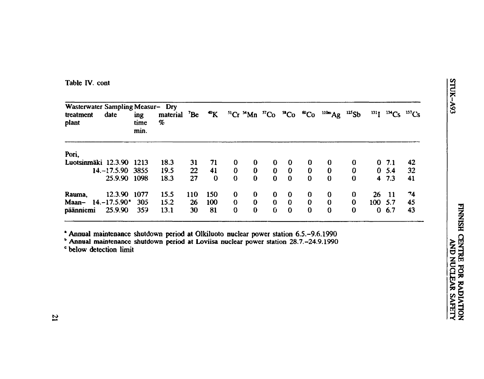**Table IV. cont** 

| Wasterwater Sampling Measur- Dry<br>treatment<br>plant | date                | ing<br>time<br>min. | material<br>% | $^7$ Be    |          |          |          |              |          |              | <sup>40</sup> K <sup>51</sup> Cr <sup>54</sup> Mn <sup>57</sup> Co <sup>58</sup> Co <sup>60</sup> Co <sup>110m</sup> Ag <sup>125</sup> Sb |          |          |        | $^{131}I$ $^{134}Cs$ $^{137}Cs$ |
|--------------------------------------------------------|---------------------|---------------------|---------------|------------|----------|----------|----------|--------------|----------|--------------|-------------------------------------------------------------------------------------------------------------------------------------------|----------|----------|--------|---------------------------------|
| Pori,                                                  |                     |                     |               |            |          |          |          |              |          |              |                                                                                                                                           |          |          |        |                                 |
| Luotsinmäki 12.3.90 1213                               |                     |                     | 18.3          | 31         | 71       | $\bf{0}$ | $\bf{0}$ | $\bf{0}$     | $\bf{0}$ | $\bf{0}$     | $\bf{0}$                                                                                                                                  | 0        |          | 0, 7.1 | 42                              |
|                                                        | $14, -17.5.90$ 3855 |                     | 19.5          | 22         | 41       | $\bf{0}$ | $\bf{0}$ | $\bf{0}$     | $\bf{0}$ | $\bf{0}$     | $\bf{0}$                                                                                                                                  | 0        |          | 0, 5.4 | 32                              |
|                                                        | 25.9.90 1098        |                     | 18.3          | 27         | $\bf{0}$ | $\bf{0}$ | $\bf{0}$ | $\mathbf{0}$ | $\Omega$ | $\bf{0}$     | $\bf{0}$                                                                                                                                  | $\bf{0}$ |          | 47.3   | 41                              |
| Rauma,                                                 | 12.3.90 1077        |                     | 15.5          | <b>110</b> | 150      | $\bf{0}$ | $\bf{0}$ | $\bf{0}$     | $\bf{0}$ | $\bf{0}$     | $\bf{0}$                                                                                                                                  | 0        | 26       | - 11   | 74                              |
| Maan-                                                  | $14. - 17.5.90^*$   | 305                 | 15.2          | 26         | 100      | $\bf{0}$ | $\bf{0}$ | $\bf{0}$     | $\bf{0}$ | $\bf{0}$     | $\bf{0}$                                                                                                                                  | $\bf{0}$ | 100 5.7  |        | 45                              |
| päänniemi                                              | 25.9.90             | 359                 | 13.1          | 30         | 81       | $\bf{0}$ | $\bf{0}$ | $\mathbf{0}$ | $\Omega$ | $\mathbf{0}$ | $\bf{0}$                                                                                                                                  | 0        | $\bf{0}$ | 6.7    | 43                              |

**\* Annual maintenance shutdown period at Olkiluoto nuclear power station 6.5.-9.6.1990 b Annual maintenance shutdown period at Loviisa nuclear power station 28.7.-24.9.1990** 

**c below detection limit**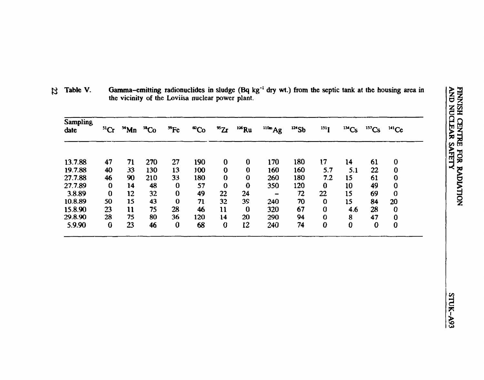|            |            |               |           |          | <sup>1</sup> dry wt.) from the septic tank at the housing area in | <b>FINNISH</b>                             |
|------------|------------|---------------|-----------|----------|-------------------------------------------------------------------|--------------------------------------------|
| $110m$ Ag  | $124$ Sb   | 131           | $134$ Cs  | $137$ Cs | $^{141}Ce$                                                        | <b>AND NUCLEAR SAFETY</b><br><b>CENTRE</b> |
| 170<br>160 | 180<br>160 | $17\,$<br>5.7 | 14<br>5.1 | 61<br>22 | 0<br>0                                                            | FOR                                        |
| 260        | 180        | 7.2           | 15        | 61       | 0                                                                 | <b>RADIATION</b>                           |
| 350        | 120        | 0             | 10        | 49       | 0                                                                 |                                            |
|            | 72         | 22            | 15        | 69       | 0                                                                 |                                            |
| 240        | 70         | 0             | 15        | 84       | 20                                                                |                                            |
| 320        | 67         | 0             | 4.6       | 28       | 0                                                                 |                                            |
| 290        | 94         | 0             | 8         | 47       | 0                                                                 |                                            |

**£3 Table V. Gamma-emitting radionuclides in sludge (Bq kg'<sup>1</sup> dry wt.) from the septic tank at the housing area in the vicinity of the Loviisa nuclear power plant.** 

 **slCr "Mn »Co "Fe "Co \*Zr "\*Ru**

**Sampling date**

13.7.88 19.7.88 27.7.88 27.7.89 3.8.89 10.8.89 15.8.90 29.8.90 5.9.90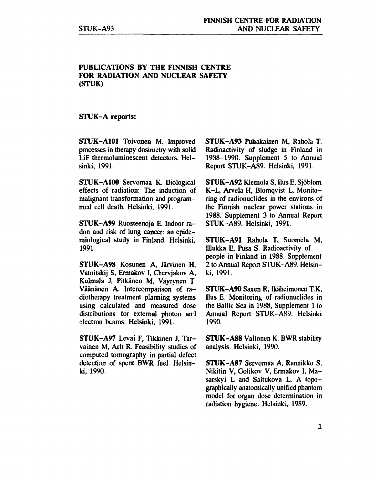#### **PUBLICATIONS BY THE FINNISH CENTRE FOR RADIATION AND NUCLEAR SAFETY (STUK)**

#### **STUK-A reports:**

**STUK-A101** Toivonen M. Improved processes in therapy dosimetry with solid LiF thermoluminescent detectors. Helsinki, 1991.

**STUK-A100** Servomaa K. Biological effects of radiation: The induction of malignant transformation and programmed cell death. Helsinki, 1991.

**STUK-A99** Ruosteenoja E. Indoor radon and risk of lung cancer: an epidemiological study in Finland. Helsinki, 1991.

**STUK-A98** Kosunen A, Järvinen H, Vatnitskij S, Ermakov I, Chervjakov A, Kulmala J, Pitkänen M, Väyrynen T. Väänänen A. Intercomparison of radiotherapy treatment planning systems using calculated and measured dose distributions for external photon and electron beams. Helsinki, 1991.

**STUK-A97** Levai F, Tikkinen J, Tarvainen M, Arit R. Feasibility studies of computed tomography in partial defect detection of spent **BWR** fuel. Helsinki, 1990.

**STUK-A93** Puhakainen M, Rahola T. Radioactivity of sludge in Finland in 1988-1990. Supplement 5 to Annual Report STUK-A89. Helsinki, 1991.

**STUK-A92** Klemola S, Ilus E, Sjöblom K-L, Arvela H, Blomqvist L. Monitoring of radionuclides in the environs of the Finnish nuclear power stations in 1988. Supplement 3 to Annual Report STUK-A89. Helsinki, 1991.

**STUK-A91** Rahola T, Suomela M, Hiukka E, Pusa S. Radioactivity of people in Finland in 1988. Supplement 2 to Annual Report STUK-A89. Helsinki, 1991.

**STUK-A90** Saxen R, Ikäheimonen TK, Ilus E. Monitoring of radionuclides in the Baltic Sea in 1988, Supplement 1 to Annual Report STUK-A89. Helsinki 1990.

**STUK-A88** Valtonen K. BWR stability analysis. Helsinki, 1990.

**STUK-A87** Servomaa A, Rannikko S, Nikitin V, Golikov V, Ermakov 1, Masarskyi L and Saltukova L. A topographically anatomically unified phantom model for organ dose determination in radiation hygiene. Helsinki, 1989.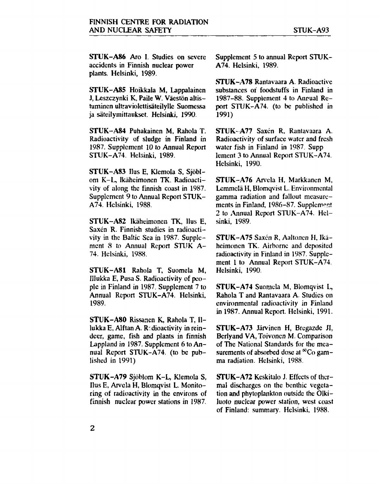STUK-A86 Aro I. Studies on severe accidents in Finnish nuclear power plants. Helsinki, 1989.

STUK-A85 Hoikkala M, Lappalainen J, Leszczynki K, Paile W. Väestön altistuminen ultraviolettisäteilylle Suomessa ja säteilymittaukset. Helsinki, 1990.

STUK-A84 Puhakainen M, Rahola T. Radioactivity of sludge in Finland in 1987. Supplement 10 to Annual Report STUK-A74. Helsinki, 1989.

STUK-A83 Uus E, Klemola S, Sjöblom K-L, Ikäheimonen TK. Radioactivity of along the finnish coast in 1987. Supplement 9 to Annual Report STUK-A74. Helsinki, 1988.

STUK-A82 Ikäheimonen TK, Uus E, Saxén R. Finnish studies in radioactivity in the Baltic Sea in 1987. Supplement 8 to Annual Report STUK A-74. Helsinki, 1988.

STUK-A81 Rahola T, Suomela M, Hiukka E, Pusa S. Radioactivity of people in Finland in 1987. Supplement 7 to Annual Report STUK-A74. Helsinki, 1989.

STUK-A80 Rissanen K, Rahola T, IIlukka E, Alftan A. Radioactivity in reindeer, game, fish and plants in finnish Lappland in 1987. Supplement 6 to Annual Report STUK-A74. (to be published in 1991)

STUK-A79 Sjöblom K-L, Klemola S, Uus E, Arvela H, Blomqvist L. Monitoring of radioactivity in the environs of finnish nuclear power stations in 1987.

Supplement 5 to annual Report STUK-A74. Helsinki, 1989.

STUK-A78 Rantavaara A. Radioactive substances or foodstuffs in Finland in 1987-88. Supplement 4 to Annual Report STUK-A74. (to be published in 1991)

STUK-A77 Saxen R, Rantavaara A. Radioactivity of surface water and fresh water fish in Finland in 1987. Supp lement 3 to Annual Report STUK-A74. Helsinki, 1990.

STUK-A76 Arvela H, Markkanen M, Lemmclä H, Blomqvist L. Environmental gamma radiation and fallout measurements in Finland, 1986-87. Supplement 2 to Annual Report STUK-A74. Helsinki, 1989.

STUK-A75 Saxén R, Aaltonen H, Ikäheimonen TK. Airborne and deposited radioactivity in Finland in 1987. Supplement 1 to Annual Report STUK-A74. Helsinki, 1990.

STUK-A74 Suomela M, Blomqvist L, Rahola T and Rantavaara A. Studies on environmental radioactivity in Finland in 1987. Annual Report. Helsinki, 1991.

STUK-A73 Järvinen H, Brcgazde JI, Berlyand VA, Toivonen M. Comparison of The National Standards for the measurements of absorbed dose at  ${}^{60}Co$  gamma radiation. Helsinki, 1988.

STUK-A72 Keskitalo J. Effects of thermal discharges on the benthic vegetation and phytoplankton outside the Olkiluoto nuclear power station, west coast of Finland: summary. Helsinki, 1988.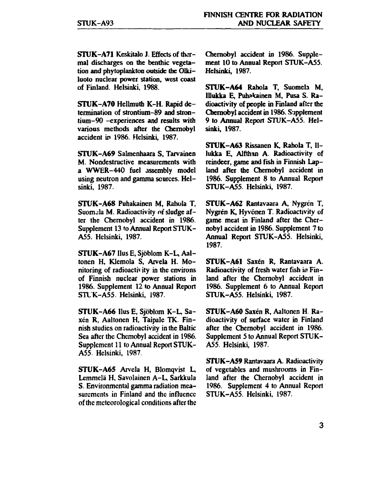**STUK-A71** Keskitalo J. Effects of thermal discharges on the benthic vegetation and phytoplankton outside the Olkiluoto nuclear power station, west coast of Finland. Helsinki. 1988.

**STUK-A70** Hellmuth K-H. Rapid determination of strontium-89 and strontium-90 -experiences and results with various methods after the Chemobyl accident in 1986. Helsinki, 1987.

**STUK-A69** Salmenhaara S, Tarvainen M. Nondestructive measurements with a WWER-440 fuel assembly model using neutron and gamma sources. Helsinki, 1987.

**STUK-A68** Puhakainen M, Rahola T, Suomala M. Radioactivity of sludge after the Chernobyl accident in 1986. Supplement 13 to Annual Report STUK-A55. Helsinki, 1987.

**STUK-A67** Hus E, Sjöblom K-L, Aaltonen H, Klemola S, Arvela H. Monitoring of radioactivity in the environs of Finnish nuclear power stations in 1986. Supplement 12 to Annual Report STLK-A55. Helsinki, 1987.

**STUK-A66** Uus E, Sjöblom K-L, Saxen R, Aaltonen H, Taipale TK. Finnish studies on radioactivity in the Baltic Sea after the Chemobyl accident in 1986. Supplement 11 to Annual Report STUK-A55. Helsinki, 1987.

STUK-A65 Arvela H, Blomqvist L, Lemmclä H, Savolainen A-L, Sarkkula S. Environmental gamma radiation measurements in Finland and the influence of the meteorological conditions after the Chemobyl accident in 1986. Supplement 10 to Annual Report STUK-A55. Helsinki, 1987.

**STUK-A64** Rahola T, Suomela M, Illukka E, Puhakainen M, Pusa S. Radioactivity of people in Finland after the Chernobyl accident in 1986. Supplement 9 *to* Annual Report STUK-A55. Helsinki, 1987.

**STUK-A63** Rissanen K, Rahola T, Illukka E, Alfthan A. Radioactivity of reindeer, game and fish in Finnish Lapland after the Chemobyl accident in 1986. Supplement 8 to Annual Report STUK-A55. Helsinki, 1987.

**STUK-A62** Rantavaara A, Nygren T, Nygren K, Hyvönen T. Radioactivity of game meat in Finland after the Chernobyl accident in 1986. Supplement 7 to Annual Report STUK-A55. Helsinki, 1987.

**STUK-A61** Saxen R, Rantavaara A. Radioactivity of fresh water fish *ia* Finland after the Chernobyl accident in 1986. Supplement 6 to Annual Report STUK-A55. Helsinki, 1987.

**STUK-A60** Saxen R, Aaltonen H. Radioactivity of surface water in Finland after the Chernobyl accident in 1986. Supplement 5 to Annual Report STUK-A55. Helsinki, 1987.

**STUK-A59** Rantavaara A. Radioactivity of vegetables and mushrooms in Finland after the Chernobyl accident in 1986. Supplement 4 to Annual Report STUK-A55. Helsinki, 1987.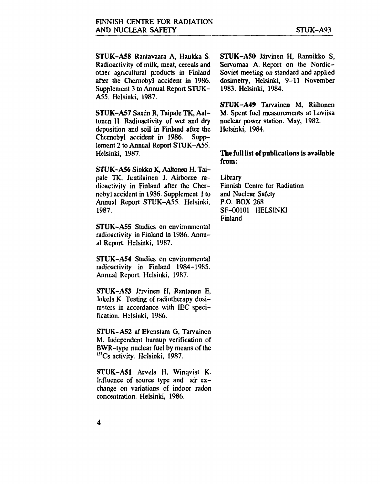**STUK-A58** Rantavaara A, Haukka S. Radioactivity of milk, meat, cereals and other agricultural products in Finland after the Chernobyl accident in 1986. Supplement 3 to Annual Report STUK-A55. Helsinki, 1987.

**STUK-A57** Saxen R, Taipale TK, Aaltonen H. Radioactivity of wet and dry deposition and soil in Finland after the Chernobyl accident in 1986. Supplement 2 to Annual Report STUK-A55. Helsinki, 1987.

STUK-A56 Sinkko K, Aaltonen H, Taipale TK, Juutilainen J. Airborne radioactivity in Finland after the Chernobyl accident in 1986. Supplement 1 to Annual Report STUK-A55. Helsinki, 1987.

**STUK-A55** Studies on environmental radioactivity in Finland in 1986. Annual Report. Helsinki, 1987.

**STUK-A54** Studies on environmental radioactivity in Finland 1984-1985. Annual Report. Helsinki, 1987.

STUK-A53 Järvinen H, Rantanen E, Jokela K. Testing of radiotherapy dosimeters in accordance with IEC specification. Helsinki, 1986.

STUK-A52 af Ekenstam G, Tarvainen M. Independent burnup verification of BWR-type nuclear fuel by means of the  $137Cs$  activity. Helsinki, 1987.

STUK-A51 Arvela H, Winqvist K. Influence of source type and air exchange on variations of indoor radon concentration. Helsinki, 1986.

**STUK-A50** Järvinen H, Rannikko S, Servomaa A. Report on the Nordic-Soviet meeting on standard and applied dosimetry, Helsinki, 9-11 November 1983. Helsinki, 1984.

**STUK-A49** Tarvainen M, Riihonen M. Spent fuel measurements at Loviisa nuclear power station. May, 1982. Helsinki, 1984.

#### **The full list of publications is available from:**

Library Finnish Centre for Radiation and Nuclear Safety P.O. BOX 268 SF-00101 HELSINKI Finland